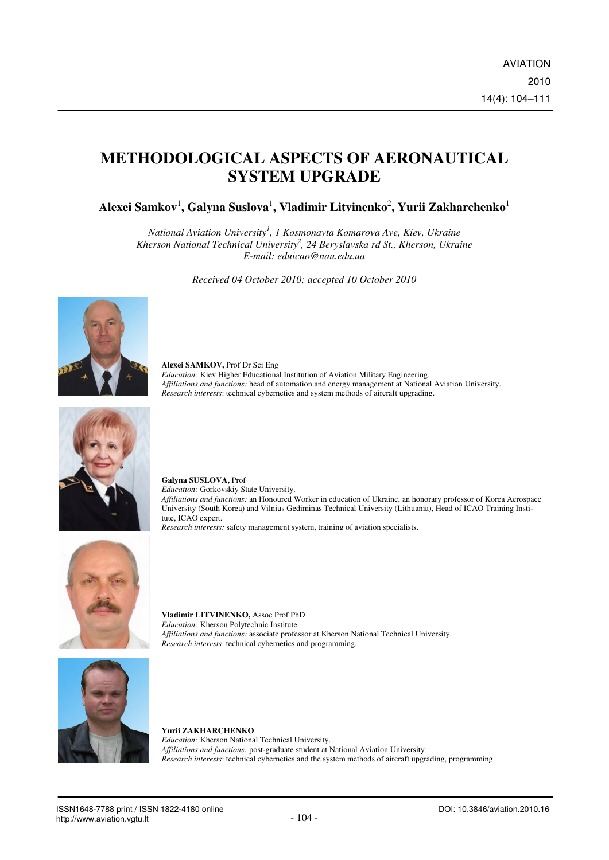# **METHODOLOGICAL ASPECTS OF AERONAUTICAL SYSTEM UPGRADE**

**Alexei Samkov**<sup>1</sup> **, Galyna Suslova**<sup>1</sup> **, Vladimir Litvinenko**<sup>2</sup> **, Yurii Zakharchenko**<sup>1</sup>

*National Aviation University<sup>1</sup> , 1 Kosmonavta Komarova Ave, Kiev, Ukraine Kherson National Technical University<sup>2</sup> , 24 Beryslavska rd St., Kherson, Ukraine E-mail: eduicao@nau.edu.ua* 

*Received 04 October 2010; accepted 10 October 2010* 



**Alexei SAMKOV,** Prof Dr Sci Eng *Education:* Kiev Higher Educational Institution of Aviation Military Engineering. *Affiliations and functions:* head of automation and energy management at National Aviation University. *Research interests*: technical cybernetics and system methods of aircraft upgrading.



**Galyna SUSLOVA,** Prof *Education:* Gorkovskiy State University. *Affiliations and functions:* an Honoured Worker in education of Ukraine, an honorary professor of Korea Aerospace University (South Korea) and Vilnius Gediminas Technical University (Lithuania), Head of ICAO Training Institute, ICAO expert. *Research interests:* safety management system, training of aviation specialists.



**Vladimir LITVINENKO,** Assoc Prof PhD *Education:* Kherson Polytechnic Institute. *Affiliations and functions:* associate professor at Kherson National Technical University. *Research interests*: technical cybernetics and programming.





**Yurii ZAKHARCHENKO**

*Education:* Kherson National Technical University.

*Research interests*: technical cybernetics and the system methods of aircraft upgrading, programming.

*Affiliations and functions:* post-graduate student at National Aviation University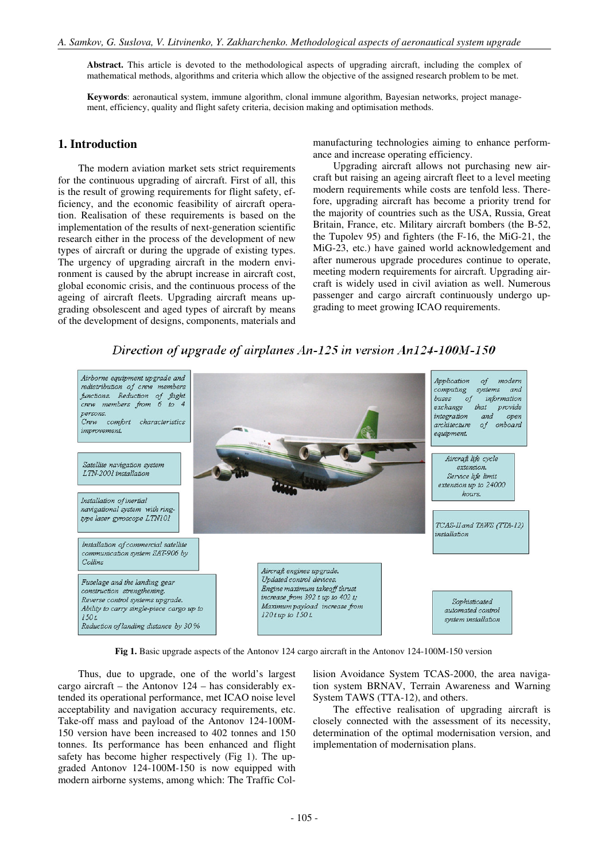**Abstract.** This article is devoted to the methodological aspects of upgrading aircraft, including the complex of mathematical methods, algorithms and criteria which allow the objective of the assigned research problem to be met.

**Keywords**: aeronautical system, immune algorithm, clonal immune algorithm, Bayesian networks, project management, efficiency, quality and flight safety criteria, decision making and optimisation methods.

## **1. Introduction**

The modern aviation market sets strict requirements for the continuous upgrading of aircraft. First of all, this is the result of growing requirements for flight safety, efficiency, and the economic feasibility of aircraft operation. Realisation of these requirements is based on the implementation of the results of next-generation scientific research either in the process of the development of new types of aircraft or during the upgrade of existing types. The urgency of upgrading aircraft in the modern environment is caused by the abrupt increase in aircraft cost, global economic crisis, and the continuous process of the ageing of aircraft fleets. Upgrading aircraft means upgrading obsolescent and aged types of aircraft by means of the development of designs, components, materials and

manufacturing technologies aiming to enhance performance and increase operating efficiency.

Upgrading aircraft allows not purchasing new aircraft but raising an ageing aircraft fleet to a level meeting modern requirements while costs are tenfold less. Therefore, upgrading aircraft has become a priority trend for the majority of countries such as the USA, Russia, Great Britain, France, etc. Military aircraft bombers (the B-52, the Tupolev 95) and fighters (the F-16, the MiG-21, the MiG-23, etc.) have gained world acknowledgement and after numerous upgrade procedures continue to operate, meeting modern requirements for aircraft. Upgrading aircraft is widely used in civil aviation as well. Numerous passenger and cargo aircraft continuously undergo upgrading to meet growing ICAO requirements.



Direction of upgrade of airplanes An-125 in version An124-100M-150

**Fig 1.** Basic upgrade aspects of the Antonov 124 cargo aircraft in the Antonov 124-100M-150 version

Thus, due to upgrade, one of the world's largest cargo aircraft – the Antonov 124 – has considerably extended its operational performance, met ICAO noise level acceptability and navigation accuracy requirements, etc. Take-off mass and payload of the Antonov 124-100M-150 version have been increased to 402 tonnes and 150 tonnes. Its performance has been enhanced and flight safety has become higher respectively (Fig 1). The upgraded Antonov 124-100M-150 is now equipped with modern airborne systems, among which: The Traffic Collision Avoidance System TCAS-2000, the area navigation system BRNAV, Terrain Awareness and Warning System TAWS (TTA-12), and others.

The effective realisation of upgrading aircraft is closely connected with the assessment of its necessity, determination of the optimal modernisation version, and implementation of modernisation plans.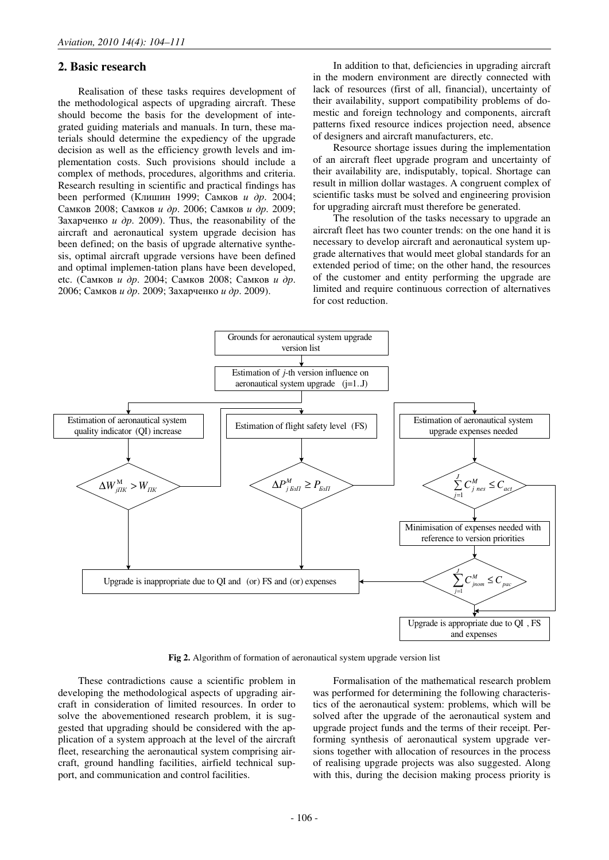## **2. Basic research**

Realisation of these tasks requires development of the methodological aspects of upgrading aircraft. These should become the basis for the development of integrated guiding materials and manuals. In turn, these materials should determine the expediency of the upgrade decision as well as the efficiency growth levels and implementation costs. Such provisions should include a complex of methods, procedures, algorithms and criteria. Research resulting in scientific and practical findings has been performed (Клишин 1999; Самков и др. 2004; Самков 2008; Самков и др. 2006; Самков и др. 2009; Захарченко *и др.* 2009). Thus, the reasonability of the aircraft and aeronautical system upgrade decision has been defined; on the basis of upgrade alternative synthesis, optimal aircraft upgrade versions have been defined and optimal implemen-tation plans have been developed, etc. (Самков и др. 2004; Самков 2008; Самков и др. 2006; Самков и др. 2009; Захарченко и др. 2009).

In addition to that, deficiencies in upgrading aircraft in the modern environment are directly connected with lack of resources (first of all, financial), uncertainty of their availability, support compatibility problems of domestic and foreign technology and components, aircraft patterns fixed resource indices projection need, absence of designers and aircraft manufacturers, etc.

Resource shortage issues during the implementation of an aircraft fleet upgrade program and uncertainty of their availability are, indisputably, topical. Shortage can result in million dollar wastages. A congruent complex of scientific tasks must be solved and engineering provision for upgrading aircraft must therefore be generated.

The resolution of the tasks necessary to upgrade an aircraft fleet has two counter trends: on the one hand it is necessary to develop aircraft and aeronautical system upgrade alternatives that would meet global standards for an extended period of time; on the other hand, the resources of the customer and entity performing the upgrade are limited and require continuous correction of alternatives for cost reduction.



**Fig 2.** Algorithm of formation of aeronautical system upgrade version list

These contradictions cause a scientific problem in developing the methodological aspects of upgrading aircraft in consideration of limited resources. In order to solve the abovementioned research problem, it is suggested that upgrading should be considered with the application of a system approach at the level of the aircraft fleet, researching the aeronautical system comprising aircraft, ground handling facilities, airfield technical support, and communication and control facilities.

Formalisation of the mathematical research problem was performed for determining the following characteristics of the aeronautical system: problems, which will be solved after the upgrade of the aeronautical system and upgrade project funds and the terms of their receipt. Performing synthesis of aeronautical system upgrade versions together with allocation of resources in the process of realising upgrade projects was also suggested. Along with this, during the decision making process priority is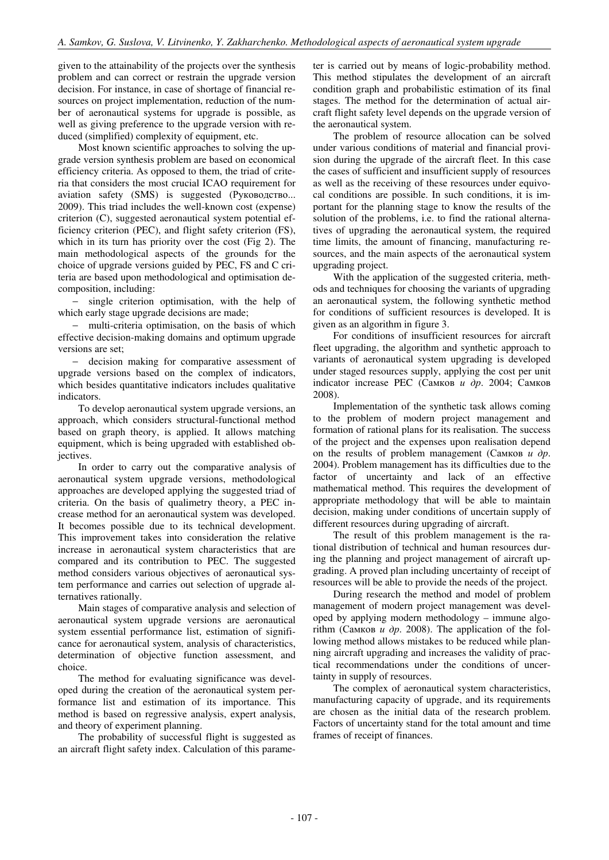given to the attainability of the projects over the synthesis problem and can correct or restrain the upgrade version decision. For instance, in case of shortage of financial resources on project implementation, reduction of the number of aeronautical systems for upgrade is possible, as well as giving preference to the upgrade version with reduced (simplified) complexity of equipment, etc.

Most known scientific approaches to solving the upgrade version synthesis problem are based on economical efficiency criteria. As opposed to them, the triad of criteria that considers the most crucial ICAO requirement for aviation safety (SMS) is suggested (Руководство... 2009). This triad includes the well-known cost (expense) criterion (C), suggested aeronautical system potential efficiency criterion (PEC), and flight safety criterion (FS), which in its turn has priority over the cost (Fig 2). The main methodological aspects of the grounds for the choice of upgrade versions guided by PEC, FS and C criteria are based upon methodological and optimisation decomposition, including:

− single criterion optimisation, with the help of which early stage upgrade decisions are made;

− multi-criteria optimisation, on the basis of which effective decision-making domains and optimum upgrade versions are set;

− decision making for comparative assessment of upgrade versions based on the complex of indicators, which besides quantitative indicators includes qualitative indicators.

To develop aeronautical system upgrade versions, an approach, which considers structural-functional method based on graph theory, is applied. It allows matching equipment, which is being upgraded with established objectives.

In order to carry out the comparative analysis of aeronautical system upgrade versions, methodological approaches are developed applying the suggested triad of criteria. On the basis of qualimetry theory, a PEC increase method for an aeronautical system was developed. It becomes possible due to its technical development. This improvement takes into consideration the relative increase in aeronautical system characteristics that are compared and its contribution to PEC. The suggested method considers various objectives of aeronautical system performance and carries out selection of upgrade alternatives rationally.

Main stages of comparative analysis and selection of aeronautical system upgrade versions are aeronautical system essential performance list, estimation of significance for aeronautical system, analysis of characteristics, determination of objective function assessment, and choice.

The method for evaluating significance was developed during the creation of the aeronautical system performance list and estimation of its importance. This method is based on regressive analysis, expert analysis, and theory of experiment planning.

The probability of successful flight is suggested as an aircraft flight safety index. Calculation of this parameter is carried out by means of logic-probability method. This method stipulates the development of an aircraft condition graph and probabilistic estimation of its final stages. The method for the determination of actual aircraft flight safety level depends on the upgrade version of the aeronautical system.

The problem of resource allocation can be solved under various conditions of material and financial provision during the upgrade of the aircraft fleet. In this case the cases of sufficient and insufficient supply of resources as well as the receiving of these resources under equivocal conditions are possible. In such conditions, it is important for the planning stage to know the results of the solution of the problems, i.e. to find the rational alternatives of upgrading the aeronautical system, the required time limits, the amount of financing, manufacturing resources, and the main aspects of the aeronautical system upgrading project.

With the application of the suggested criteria, methods and techniques for choosing the variants of upgrading an aeronautical system, the following synthetic method for conditions of sufficient resources is developed. It is given as an algorithm in figure 3.

For conditions of insufficient resources for aircraft fleet upgrading, the algorithm and synthetic approach to variants of aeronautical system upgrading is developed under staged resources supply, applying the cost per unit indicator increase PEC (Самков и др. 2004; Самков 2008).

Implementation of the synthetic task allows coming to the problem of modern project management and formation of rational plans for its realisation. The success of the project and the expenses upon realisation depend on the results of problem management (Самков  $u \, \partial p$ . 2004). Problem management has its difficulties due to the factor of uncertainty and lack of an effective mathematical method. This requires the development of appropriate methodology that will be able to maintain decision, making under conditions of uncertain supply of different resources during upgrading of aircraft.

The result of this problem management is the rational distribution of technical and human resources during the planning and project management of aircraft upgrading. A proved plan including uncertainty of receipt of resources will be able to provide the needs of the project.

During research the method and model of problem management of modern project management was developed by applying modern methodology – immune algorithm (Самков *и др.* 2008). The application of the following method allows mistakes to be reduced while planning aircraft upgrading and increases the validity of practical recommendations under the conditions of uncertainty in supply of resources.

The complex of aeronautical system characteristics, manufacturing capacity of upgrade, and its requirements are chosen as the initial data of the research problem. Factors of uncertainty stand for the total amount and time frames of receipt of finances.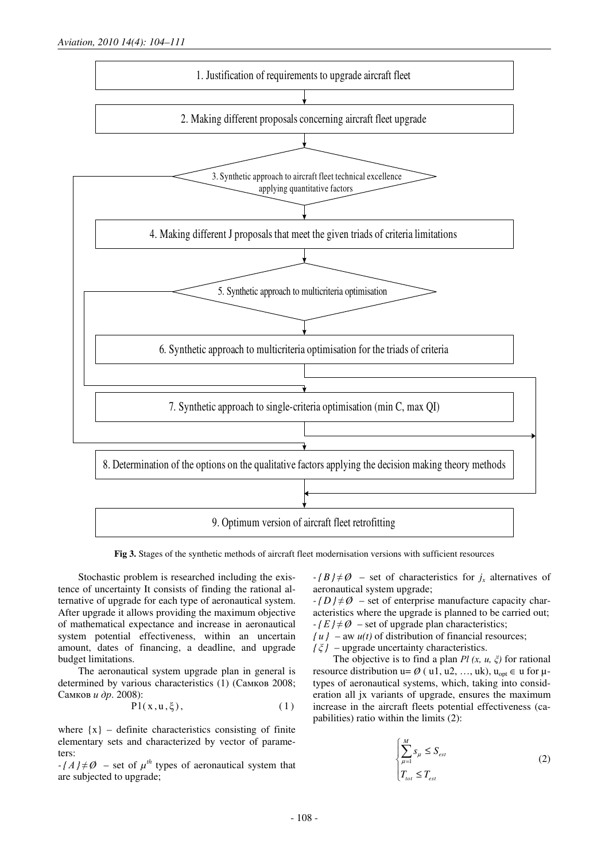

**Fig 3.** Stages of the synthetic methods of aircraft fleet modernisation versions with sufficient resources

Stochastic problem is researched including the existence of uncertainty It consists of finding the rational alternative of upgrade for each type of aeronautical system. After upgrade it allows providing the maximum objective of mathematical expectance and increase in aeronautical system potential effectiveness, within an uncertain amount, dates of financing, a deadline, and upgrade budget limitations.

The aeronautical system upgrade plan in general is determined by various characteristics (1) (Самков 2008; Самков и др. 2008):

$$
Pl(x, u, \xi), \qquad (1)
$$

where  $\{x\}$  – definite characteristics consisting of finite elementary sets and characterized by vector of parameters:

 $-$  { $A$ }  $\neq$  Ø – set of  $\mu$ <sup>th</sup> types of aeronautical system that are subjected to upgrade;

 $-(B)/\neq \emptyset$  – set of characteristics for  $j_x$  alternatives of aeronautical system upgrade;

 $-$  *{D}*  $\neq$  *Ø* – set of enterprise manufacture capacity characteristics where the upgrade is planned to be carried out;  $-fE/\neq\emptyset$  – set of upgrade plan characteristics;

 $\{u\}$  – aw  $u(t)$  of distribution of financial resources;

 $\{\xi\}$  – upgrade uncertainty characteristics.

The objective is to find a plan  $Pl(x, u, \xi)$  for rational resource distribution u=  $\emptyset$  ( u1, u2, ..., uk), u<sub>opt</sub>  $\in$  u for  $\mu$ types of aeronautical systems, which, taking into consideration all jx variants of upgrade, ensures the maximum increase in the aircraft fleets potential effectiveness (capabilities) ratio within the limits (2):

$$
\begin{cases} \sum_{\mu=1}^{M} s_{\mu} \le S_{est} \\ T_{tot} \le T_{est} \end{cases}
$$
 (2)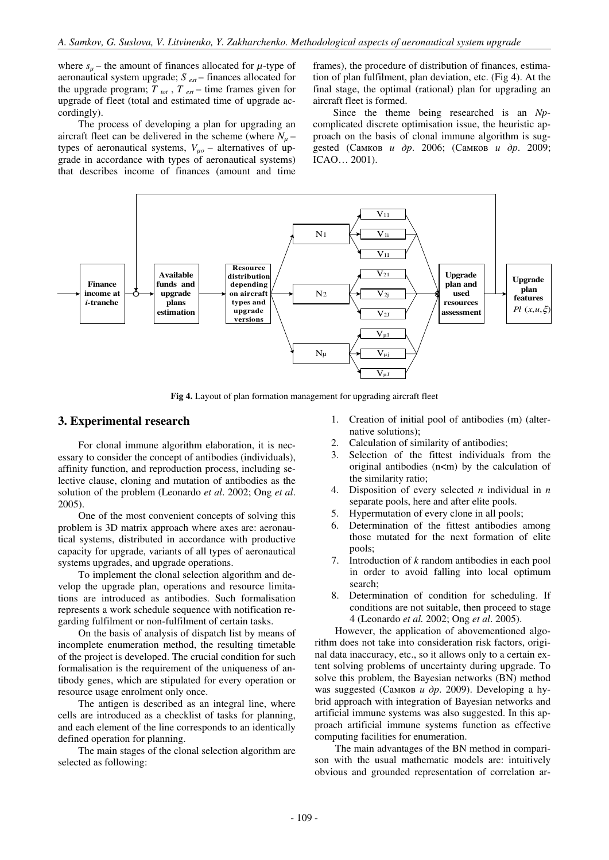where  $s_u$  – the amount of finances allocated for  $\mu$ -type of aeronautical system upgrade; *S est* – finances allocated for the upgrade program;  $T_{tot}$ ,  $T_{est}$  – time frames given for upgrade of fleet (total and estimated time of upgrade accordingly).

The process of developing a plan for upgrading an aircraft fleet can be delivered in the scheme (where  $N_\mu$  – types of aeronautical systems,  $V_{\mu o}$  – alternatives of upgrade in accordance with types of aeronautical systems) that describes income of finances (amount and time

frames), the procedure of distribution of finances, estimation of plan fulfilment, plan deviation, etc. (Fig 4). At the final stage, the optimal (rational) plan for upgrading an aircraft fleet is formed.

Since the theme being researched is an *Np*complicated discrete optimisation issue, the heuristic approach on the basis of clonal immune algorithm is suggested (Самков и др. 2006; (Самков и др. 2009; ICAO… 2001).



**Fig 4.** Layout of plan formation management for upgrading aircraft fleet

## **3. Experimental research**

For clonal immune algorithm elaboration, it is necessary to consider the concept of antibodies (individuals), affinity function, and reproduction process, including selective clause, cloning and mutation of antibodies as the solution of the problem (Leonardo *et al*. 2002; Ong *et al*. 2005).

One of the most convenient concepts of solving this problem is 3D matrix approach where axes are: aeronautical systems, distributed in accordance with productive capacity for upgrade, variants of all types of aeronautical systems upgrades, and upgrade operations.

To implement the clonal selection algorithm and develop the upgrade plan, operations and resource limitations are introduced as antibodies. Such formalisation represents a work schedule sequence with notification regarding fulfilment or non-fulfilment of certain tasks.

On the basis of analysis of dispatch list by means of incomplete enumeration method, the resulting timetable of the project is developed. The crucial condition for such formalisation is the requirement of the uniqueness of antibody genes, which are stipulated for every operation or resource usage enrolment only once.

The antigen is described as an integral line, where cells are introduced as a checklist of tasks for planning, and each element of the line corresponds to an identically defined operation for planning.

The main stages of the clonal selection algorithm are selected as following:

- 1. Creation of initial pool of antibodies (m) (alternative solutions);
- 2. Calculation of similarity of antibodies;
- 3. Selection of the fittest individuals from the original antibodies  $(n < m)$  by the calculation of the similarity ratio;
- 4. Disposition of every selected *n* individual in *n*  separate pools, here and after elite pools.
- 5. Hypermutation of every clone in all pools;
- 6. Determination of the fittest antibodies among those mutated for the next formation of elite pools;
- 7. Introduction of *k* random antibodies in each pool in order to avoid falling into local optimum search;
- 8. Determination of condition for scheduling. If conditions are not suitable, then proceed to stage 4 (Leonardo *et al.* 2002; Ong *et al*. 2005).

However, the application of abovementioned algorithm does not take into consideration risk factors, original data inaccuracy, etc., so it allows only to a certain extent solving problems of uncertainty during upgrade. To solve this problem, the Bayesian networks (BN) method was suggested (Самков *и др.* 2009). Developing a hybrid approach with integration of Bayesian networks and artificial immune systems was also suggested. In this approach artificial immune systems function as effective computing facilities for enumeration.

The main advantages of the BN method in comparison with the usual mathematic models are: intuitively obvious and grounded representation of correlation ar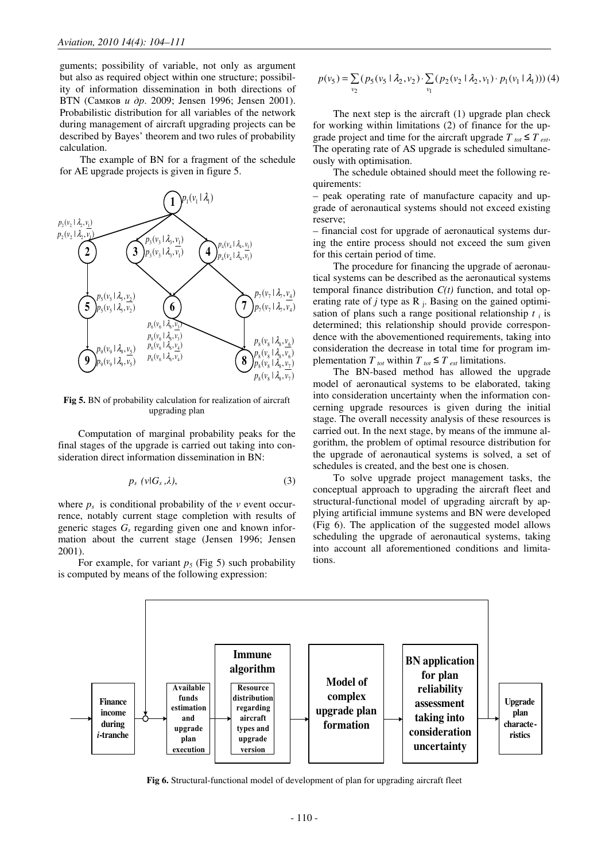guments; possibility of variable, not only as argument but also as required object within one structure; possibility of information dissemination in both directions of BTN (Самков и др. 2009; Jensen 1996; Jensen 2001). Probabilistic distribution for all variables of the network during management of aircraft upgrading projects can be described by Bayes' theorem and two rules of probability calculation.

The example of BN for a fragment of the schedule for AE upgrade projects is given in figure 5.



**Fig 5.** BN of probability calculation for realization of aircraft upgrading plan

Computation of marginal probability peaks for the final stages of the upgrade is carried out taking into consideration direct information dissemination in BN:

$$
p_s \ (\nu | G_s \, \lambda), \tag{3}
$$

where  $p_s$  is conditional probability of the  $v$  event occurrence, notably current stage completion with results of generic stages  $G_s$  regarding given one and known information about the current stage (Jensen 1996; Jensen 2001).

For example, for variant  $p_5$  (Fig 5) such probability is computed by means of the following expression:

$$
p(v_5) = \sum_{v_2} (p_5(v_5 \mid \lambda_2, v_2) \cdot \sum_{v_1} (p_2(v_2 \mid \lambda_2, v_1) \cdot p_1(v_1 \mid \lambda_1))) (4)
$$

The next step is the aircraft (1) upgrade plan check for working within limitations (2) of finance for the upgrade project and time for the aircraft upgrade  $T_{tot} \leq T_{est}$ . The operating rate of AS upgrade is scheduled simultaneously with optimisation.

The schedule obtained should meet the following requirements:

– peak operating rate of manufacture capacity and upgrade of aeronautical systems should not exceed existing reserve;

– financial cost for upgrade of aeronautical systems during the entire process should not exceed the sum given for this certain period of time.

The procedure for financing the upgrade of aeronautical systems can be described as the aeronautical systems temporal finance distribution  $C(t)$  function, and total operating rate of  $j$  type as  $R_j$ . Basing on the gained optimisation of plans such a range positional relationship *t <sup>i</sup>* is determined; this relationship should provide correspondence with the abovementioned requirements, taking into consideration the decrease in total time for program implementation  $T_{tot}$  within  $T_{tot} \leq T_{est}$  limitations.

The BN-based method has allowed the upgrade model of aeronautical systems to be elaborated, taking into consideration uncertainty when the information concerning upgrade resources is given during the initial stage. The overall necessity analysis of these resources is carried out. In the next stage, by means of the immune algorithm, the problem of optimal resource distribution for the upgrade of aeronautical systems is solved, a set of schedules is created, and the best one is chosen.

To solve upgrade project management tasks, the conceptual approach to upgrading the aircraft fleet and structural-functional model of upgrading aircraft by applying artificial immune systems and BN were developed (Fig 6). The application of the suggested model allows scheduling the upgrade of aeronautical systems, taking into account all aforementioned conditions and limitations.



**Fig 6.** Structural-functional model of development of plan for upgrading aircraft fleet